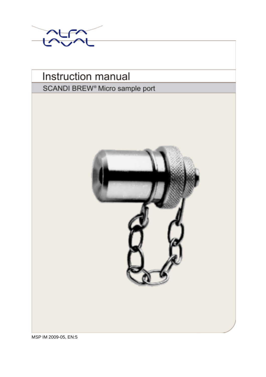



MSP IM 2009-05, EN:5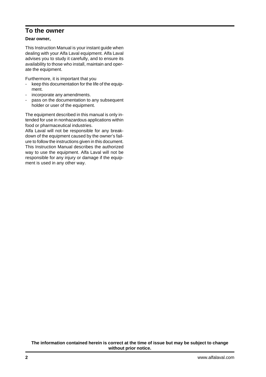# **To the owner**

### **Dear owner,**

This Instruction Manual is your instant guide when dealing with your Alfa Laval equipment. Alfa Laval advises you to study it carefully, and to ensure its availability to those who install, maintain and operate the equipment.

Furthermore, it is important that you

- keep this documentation for the life of the equipment.
- incorporate any amendments.
- pass on the documentation to any subsequent holder or user of the equipment.

The equipment described in this manual is only intended for use in nonhazardous applications within food or pharmaceutical industries.

Alfa Laval will not be responsible for any breakdown of the equipment caused by the owner's failure to follow the instructions given in this document. This Instruction Manual describes the authorized way to use the equipment. Alfa Laval will not be responsible for any injury or damage if the equipment is used in any other way.

#### **The information contained herein is correct at the time of issue but may be subject to change without prior notice.**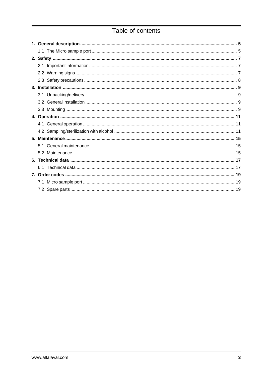# Table of contents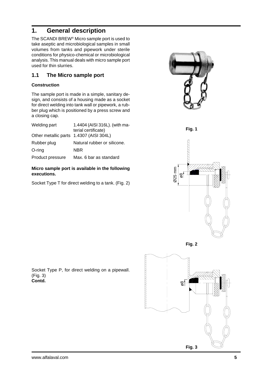# **1. General description**

The SCANDI BREW® Micro sample port is used to take aseptic and microbiological samples in small volumes from tanks and pipework under sterile conditions for physico-chemical or microbiological analysis. This manual deals with micro sample port used for thin slurries.

## **1.1 The Micro sample port**

### **Construction**

The sample port is made in a simple, sanitary design, and consists of a housing made as a socket for direct welding into tank wall or pipework, a rubber plug which is positioned by a press screw and a closing cap.

| Welding part                            | 1.4404 (AISI 316L). (with ma- |  |
|-----------------------------------------|-------------------------------|--|
|                                         | terial certificate)           |  |
| Other metallic parts 1.4307 (AISI 304L) |                               |  |
| Rubber plug                             | Natural rubber or silicone.   |  |
| $O$ -ring                               | NBR                           |  |
| Product pressure                        | Max. 6 bar as standard        |  |

### **Micro sample port is available in the following executions.**

Socket Type T for direct welding to a tank. (Fig. 2)



**Fig. 1**



**Fig. 2**



Socket Type P, for direct welding on a pipewall. (Fig. 3) **Contd.**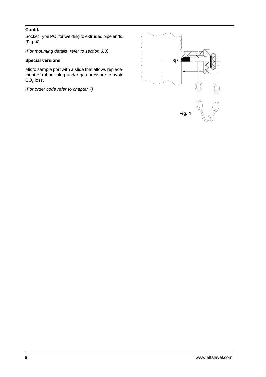### **Contd.**

Socket Type PC, for welding to extruded pipe ends. (Fig. 4)

*(For mounting details, refer to section 3.3)*

### **Special versions**

Micro sample port with a slide that allows replacement of rubber plug under gas pressure to avoid  $\mathsf{CO}_2$  loss.

*(For order code refer to chapter 7)*

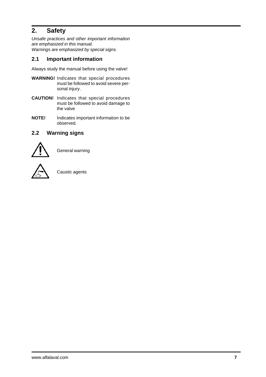# **2. Safety**

*Unsafe practices and other important information are emphasized in this manual. Warnings are emphasized by special signs.*

## **2.1 Important information**

Always study the manual before using the valve!

- **WARNING!** Indicates that special procedures must be followed to avoid severe personal injury.
- **CAUTION!** Indicates that special procedures must be followed to avoid damage to the valve
- **NOTE!** Indicates important information to be observed.

## **2.2 Warning signs**



General warning



Caustic agents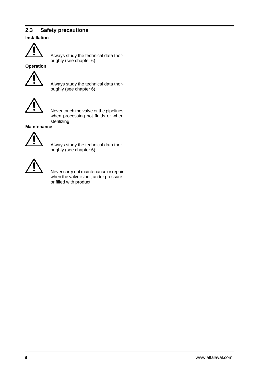## **2.3 Safety precautions**

### **Installation**



Always study the technical data thoroughly (see chapter 6).

**Operation**



Always study the technical data thoroughly (see chapter 6).



Never touch the valve or the pipelines when processing hot fluids or when sterilizing.

**Maintenance**



Always study the technical data thoroughly (see chapter 6).



Never carry out maintenance or repair when the valve is hot, under pressure, or filled with product.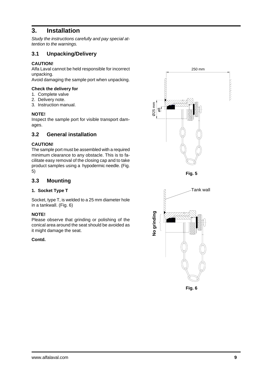# **3. Installation**

*Study the instructions carefully and pay special attention to the warnings.*

# **3.1 Unpacking/Delivery**

### **CAUTION!**

Alfa Laval cannot be held responsible for incorrect unpacking.

Avoid damaging the sample port when unpacking.

#### **Check the delivery for**

- 1. Complete valve
- 2. Delivery note.
- 3. Instruction manual.

#### **NOTE!**

Inspect the sample port for visible transport damages.

## **3.2 General installation**

### **CAUTION!**

The sample port must be assembled with a required minimum clearance to any obstacle. This is to facilitate easy removal of the closing cap and to take product samples using a hypodermic needle. (Fig. 5)

## **3.3 Mounting**

### **1. Socket Type T**

Socket, type T, is welded to a 25 mm diameter hole in a tankwall. (Fig. 6)

#### **NOTE!**

Please observe that grinding or polishing of the conical area around the seat should be avoided as it might damage the seat.

#### **Contd.**



**Fig. 6**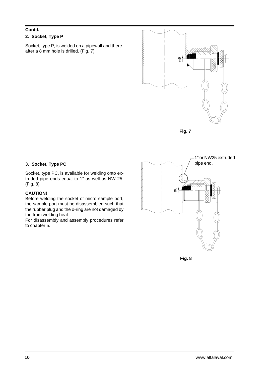## **Contd.**

### **2. Socket, Type P**

Socket, type P, is welded on a pipewall and thereafter a 8 mm hole is drilled. (Fig. 7)



**Fig. 7**

### **3. Socket, Type PC**

Socket, type PC, is available for welding onto extruded pipe ends equal to 1" as well as NW 25. (Fig. 8)

### **CAUTION!**

Before welding the socket of micro sample port, the sample port must be disassembled such that the rubber plug and the o-ring are not damaged by the from welding heat.

For disassembly and assembly procedures refer to chapter 5.



Fig. 8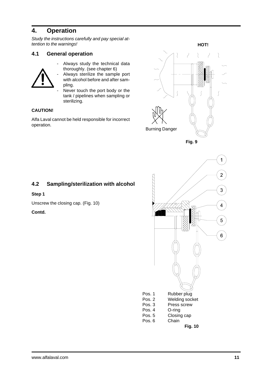# **4. Operation**

*Study the instructions carefully and pay special attention to the warnings!*

## **4.1 General operation**



- Always study the technical data thoroughly. (see chapter 6)
- Always sterilize the sample port with alcohol before and after sampling.
- Never touch the port body or the tank / pipelines when sampling or sterilizing.

## **CAUTION!**

Alfa Laval cannot be held responsible for incorrect operation. The contract of the contract of the contract of the contract of the contract of the contract of the contract of the contract of the contract of the contract of the contract of the contract of the contract of the



# **4.2 Sampling/sterilization with alcohol**

#### **Step 1**

Unscrew the closing cap. (Fig. 10)

### **Contd.**

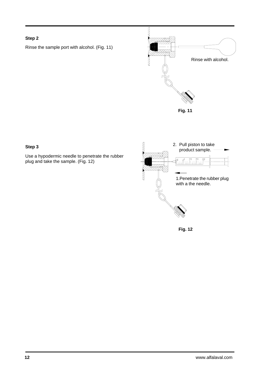### **Step 2**

Rinse the sample port with alcohol. (Fig. 11)



### **Step 3**

Use a hypodermic needle to penetrate the rubber plug and take the sample. (Fig. 12)



**Fig. 12**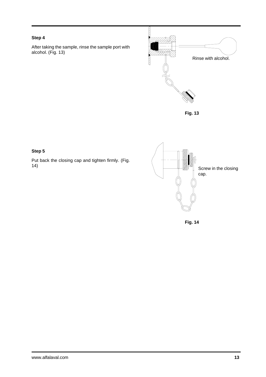## **Step 4**

After taking the sample, rinse the sample port with alcohol. (Fig. 13)



**Fig. 13**

### **Step 5**

Put back the closing cap and tighten firmly. (Fig.



**Fig. 14**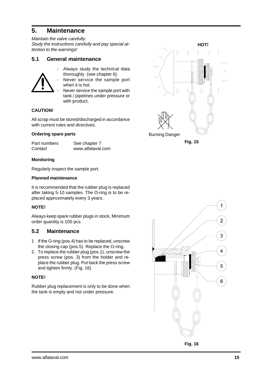# **5. Maintenance**

*Maintain the valve carefully. Study the instructions carefully and pay special attention to the warnings!*

## **5.1 General maintenance**



- Always study the technical data thoroughly (see chapter 6).
- Never service the sample port when it is hot.
- Never service the sample port with tank / pipelines under pressure or with product.

### **CAUTION!**

All scrap must be stored/discharged in accordance with current rules and directives.

#### **Ordering spare parts**

| Part numbers | See chapter 7     |
|--------------|-------------------|
| Contact      | www.alfalaval.com |

#### **Monitoring**

Regularly inspect the sample port.

#### **Planned maintenance**

It is recommended that the rubber plug is replaced after taking 5-10 samples. The O-ring is to be replaced approximately every 3 years.

### **NOTE!**

Always keep spare rubber plugs in stock. Minimum order quantity is 100 pcs.

### **5.2 Maintenance**

- 1 If the O-ring (pos.4) has to be replaced, unscrew the closing cap (pos.5). Replace the O-ring.
- 2. To replace the rubber plug (pos.1), unscrew the press screw (pos. 3) from the holder and replace the rubber plug. Put back the press screw and tighten firmly. (Fig. 16)

#### **NOTE!**

Rubber plug replacement is only to be done when the tank is empty and not under pressure.



**Fig. 15**



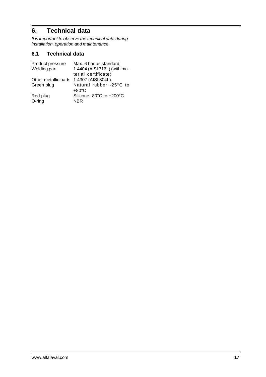# **6. Technical data**

*It is important to observe the technical data during installation, operation and maintenance.*

# **6.1 Technical data**

| Product pressure     | Max. 6 bar as standard.      |
|----------------------|------------------------------|
| Welding part         | 1.4404 (AISI 316L) (with ma- |
|                      | terial certificate)          |
| Other metallic parts | 1.4307 (AISI 304L).          |
| Green plug           | Natural rubber -25°C to      |
|                      | $+80^{\circ}$ C              |
| Red plug             | Silicone -80°C to +200°C     |
| O-ring               | <b>NBR</b>                   |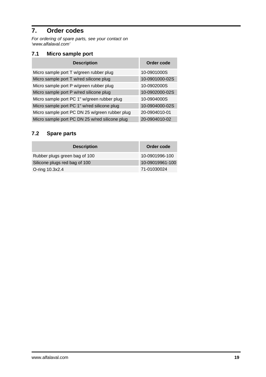# **7. Order codes**

*For ordering of spare parts, see your contact on 'www.alfalaval.com'*

# **7.1 Micro sample port**

| <b>Description</b>                             | Order code     |
|------------------------------------------------|----------------|
| Micro sample port T w/green rubber plug        | 10-0901000S    |
| Micro sample port T w/red silicone plug        | 10-0901000-02S |
| Micro sample port P w/green rubber plug        | 10-0902000S    |
| Micro sample port P w/red silicone plug        | 10-0902000-02S |
| Micro sample port PC 1" w/green rubber plug    | 10-0904000S    |
| Micro sample port PC 1" w/red silicone plug    | 10-0904000-02S |
| Micro sample port PC DN 25 w/green rubber plug | 20-0904010-01  |
| Micro sample port PC DN 25 w/red silicone plug | 20-0904010-02  |

# **7.2 Spare parts**

| <b>Description</b>            | Order code      |
|-------------------------------|-----------------|
| Rubber plugs green bag of 100 | 10-0901996-100  |
| Silicone plugs red bag of 100 | 10-09019961-100 |
| O-ring 10.3x2.4               | 71-01030024     |